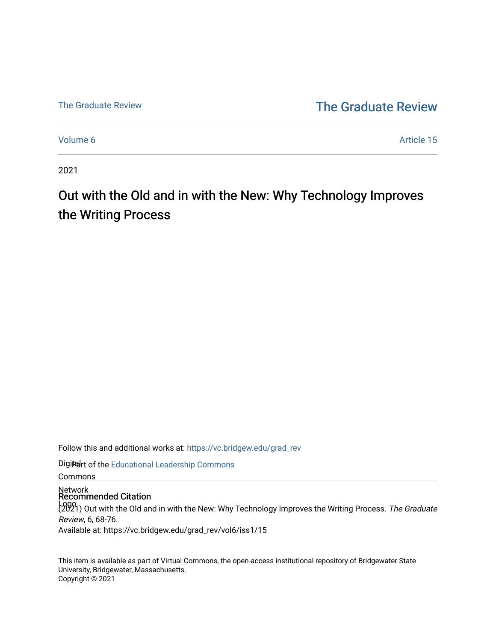## [The Graduate Review](http://vc.bridgew.edu/) The Graduate Review

[Volume 6](https://vc.bridgew.edu/grad_rev/vol6) Article 15

2021

# Out with the Old and in with the New: Why Technology Improves the Writing Process

Follow this and additional works at: [https://vc.bridgew.edu/grad\\_rev](https://vc.bridgew.edu/grad_rev?utm_source=vc.bridgew.edu%2Fgrad_rev%2Fvol6%2Fiss1%2F15&utm_medium=PDF&utm_campaign=PDFCoverPages) 

Digitedrt of the Educational Leadership Commons

Commons

Network Recommended Citation

Logo<br>(2021) Out with the Old and in with the New: Why Technology Improves the Writing Process. The Graduate Review, 6, 68-76.

Available at: https://vc.bridgew.edu/grad\_rev/vol6/iss1/15

This item is available as part of Virtual Commons, the open-access institutional repository of Bridgewater State University, Bridgewater, Massachusetts. Copyright © 2021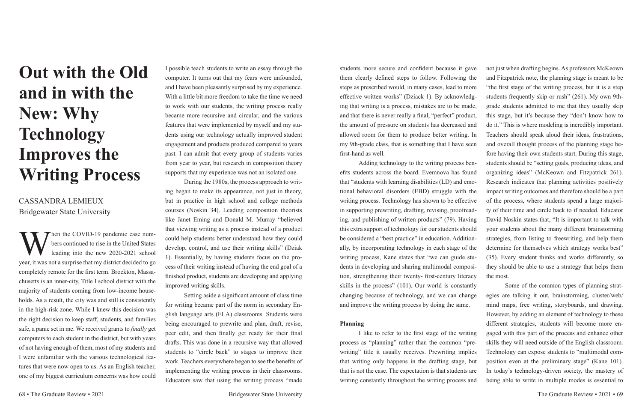# **Out with the Old and in with the New: Why Technology Improves the Writing Process**

CASSANDRA LEMIEUX Bridgewater State University

When the COVID-19 pandemic case num-<br>bers continued to rise in the United States<br>leading into the new 2020-2021 school bers continued to rise in the United States leading into the new 2020-2021 school year, it was not a surprise that my district decided to go completely remote for the first term. Brockton, Massachusetts is an inner-city, Title I school district with the majority of students coming from low-income households. As a result, the city was and still is consistently in the high-risk zone. While I knew this decision was the right decision to keep staff, students, and families safe, a panic set in me. We received grants to *finally* get computers to each student in the district, but with years of not having enough of them, most of my students and I were unfamiliar with the various technological features that were now open to us. As an English teacher, one of my biggest curriculum concerns was how could

I possible teach students to write an essay through the computer. It turns out that my fears were unfounded, and I have been pleasantly surprised by my experience. With a little bit more freedom to take the time we need to work with our students, the writing process really became more recursive and circular, and the various features that were implemented by myself and my students using our technology actually improved student engagement and products produced compared to years past. I can admit that every group of students varies from year to year, but research in composition theory supports that my experience was not an isolated one.

During the 1980s, the process approach to writing began to make its appearance, not just in theory, but in practice in high school and college methods courses (Noskin 34). Leading composition theorists like Janet Eming and Donald M. Murray "believed that viewing writing as a process instead of a product could help students better understand how they could develop, control, and use their writing skills" (Dziak 1). Essentially, by having students focus on the process of their writing instead of having the end goal of a finished product, students are developing and applying improved writing skills.

Setting aside a significant amount of class time for writing became part of the norm in secondary English language arts (ELA) classrooms. Students were being encouraged to prewrite and plan, draft, revise, peer edit, and then finally get ready for their final drafts. This was done in a recursive way that allowed students to "circle back" to stages to improve their work. Teachers everywhere began to see the benefits of implementing the writing process in their classrooms. Educators saw that using the writing process "made

students more secure and confident because it gave them clearly defined steps to follow. Following the steps as prescribed would, in many cases, lead to more and that there is never really a final, "perfect" product, the amount of pressure on students has decreased and allowed room for them to produce better writing. In my 9th-grade class, that is something that I have seen first-hand as well. efits students across the board. Evemnova has found that "students with learning disabilities (LD) and emotional behavioral disorders (EBD) struggle with the writing process. Technology has shown to be effective ing, and publishing of written products" (79). Having this extra support of technology for our students should be considered a "best practice" in education. Additionally, by incorporating technology in each stage of the writing process, Kane states that "we can guide students in developing and sharing multimodal composition, strengthening their twenty- first-century literacy skills in the process" (101). Our world is constantly changing because of technology, and we can change and improve the writing process by doing the same. the most. Some of the common types of planning strategies are talking it out, brainstorming, cluster/web/ mind maps, free writing, storyboards, and drawing.

effective written works" (Dziack 1). By acknowledging that writing is a process, mistakes are to be made, Adding technology to the writing process benin supporting prewriting, drafting, revising, proofreadnot just when drafting begins. As professors McKeown and Fitzpatrick note, the planning stage is meant to be "the first stage of the writing process, but it is a step students frequently skip or rush" (261). My own 9thgrade students admitted to me that they usually skip this stage, but it's because they "don't know how to do it." This is where modeling is incredibly important. Teachers should speak aloud their ideas, frustrations, and overall thought process of the planning stage before having their own students start. During this stage, students should be "setting goals, producing ideas, and organizing ideas" (McKeown and Fitzpatrick 261). Research indicates that planning activities positively impact writing outcomes and therefore should be a part of the process, where students spend a large majority of their time and circle back to if needed. Educator David Noskin states that, "It is important to talk with your students about the many different brainstorming strategies, from listing to freewriting, and help them determine for themselves which strategy works best" (35). Every student thinks and works differently, so they should be able to use a strategy that helps them

**Planning** I like to refer to the first stage of the writing process as "planning" rather than the common "prewriting" title it usually receives. Prewriting implies that writing only happens in the drafting stage, but that is not the case. The expectation is that students are writing constantly throughout the writing process and However, by adding an element of technology to these different strategies, students will become more engaged with this part of the process and enhance other skills they will need outside of the English classroom. Technology can expose students to "multimodal composition even at the preliminary stage" (Kane 101). In today's technology-driven society, the mastery of being able to write in multiple modes is essential to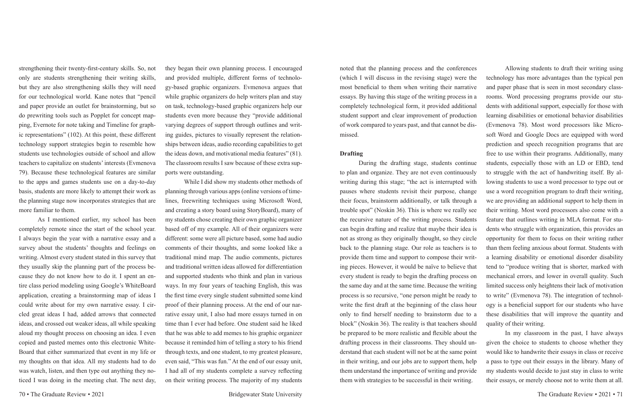strengthening their twenty-first-century skills. So, not only are students strengthening their writing skills, but they are also strengthening skills they will need for our technological world. Kane notes that "pencil and paper provide an outlet for brainstorming, but so do prewriting tools such as Popplet for concept mapping, Evernote for note taking and Timeline for graphic representations" (102). At this point, these different technology support strategies begin to resemble how students use technologies outside of school and allow teachers to capitalize on students' interests (Evmenova 79). Because these technological features are similar to the apps and games students use on a day-to-day basis, students are more likely to attempt their work as the planning stage now incorporates strategies that are more familiar to them.

As I mentioned earlier, my school has been completely remote since the start of the school year. I always begin the year with a narrative essay and a survey about the students' thoughts and feelings on writing. Almost every student stated in this survey that they usually skip the planning part of the process because they do not know how to do it. I spent an entire class period modeling using Google's WhiteBoard application, creating a brainstorming map of ideas I could write about for my own narrative essay. I circled great ideas I had, added arrows that connected ideas, and crossed out weaker ideas, all while speaking aloud my thought process on choosing an idea. I even copied and pasted memes onto this electronic White-Board that either summarized that event in my life or my thoughts on that idea. All my students had to do was watch, listen, and then type out anything they noticed I was doing in the meeting chat. The next day, they began their own planning process. I encouraged and provided multiple, different forms of technology-based graphic organizers. Evmenova argues that while graphic organizers do help writers plan and stay on task, technology-based graphic organizers help our students even more because they "provide additional varying degrees of support through outlines and writing guides, pictures to visually represent the relationships between ideas, audio recording capabilities to get the ideas down, and motivational media features" (81). The classroom results I saw because of these extra supports were outstanding.

While I did show my students other methods of planning through various apps (online versions of timelines, freewriting techniques using Microsoft Word, and creating a story board using StoryBoard), many of my students chose creating their own graphic organizer based off of my example. All of their organizers were different: some were all picture based, some had audio comments of their thoughts, and some looked like a traditional mind map. The audio comments, pictures and traditional written ideas allowed for differentiation and supported students who think and plan in various ways. In my four years of teaching English, this was the first time every single student submitted some kind proof of their planning process. At the end of our narrative essay unit, I also had more essays turned in on time than I ever had before. One student said he liked that he was able to add memes to his graphic organizer because it reminded him of telling a story to his friend through texts, and one student, to my greatest pleasure, even said, "This was fun." At the end of our essay unit, I had all of my students complete a survey reflecting on their writing process. The majority of my students

noted that the planning process and the conferences (which I will discuss in the revising stage) were the most beneficial to them when writing their narrative essays. By having this stage of the writing process in a completely technological form, it provided additional student support and clear improvement of production of work compared to years past, and that cannot be dismissed. **Drafting** During the drafting stage, students continue to plan and organize. They are not even continuously writing during this stage; "the act is interrupted with pauses where students revisit their purpose, change their focus, brainstorm additionally, or talk through a trouble spot" (Noskin 36). This is where we really see the recursive nature of the writing process. Students can begin drafting and realize that maybe their idea is not as strong as they originally thought, so they circle back to the planning stage. Our role as teachers is to provide them time and support to compose their writing pieces. However, it would be naïve to believe that every student is ready to begin the drafting process on the same day and at the same time. Because the writing process is so recursive, "one person might be ready to write the first draft at the beginning of the class hour only to find herself needing to brainstorm due to a block" (Noskin 36). The reality is that teachers should Allowing students to draft their writing using technology has more advantages than the typical pen and paper phase that is seen in most secondary classrooms. Word processing programs provide our students with additional support, especially for those with learning disabilities or emotional behavior disabilities (Evmenova 78). Most word processors like Microsoft Word and Google Docs are equipped with word prediction and speech recognition programs that are free to use within their programs. Additionally, many students, especially those with an LD or EBD, tend to struggle with the act of handwriting itself. By allowing students to use a word processor to type out or use a word recognition program to draft their writing, we are providing an additional support to help them in their writing. Most word processors also come with a feature that outlines writing in MLA format. For students who struggle with organization, this provides an opportunity for them to focus on their writing rather than them feeling anxious about format. Students with a learning disability or emotional disorder disability tend to "produce writing that is shorter, marked with mechanical errors, and lower in overall quality. Such limited success only heightens their lack of motivation to write" (Evmenova 78). The integration of technology is a beneficial support for our students who have these disabilities that will improve the quantity and quality of their writing.

be prepared to be more realistic and flexible about the drafting process in their classrooms. They should understand that each student will not be at the same point in their writing, and our jobs are to support them, help them understand the importance of writing and provide them with strategies to be successful in their writing. In my classroom in the past, I have always given the choice to students to choose whether they would like to handwrite their essays in class or receive a pass to type out their essays in the library. Many of my students would decide to just stay in class to write their essays, or merely choose not to write them at all.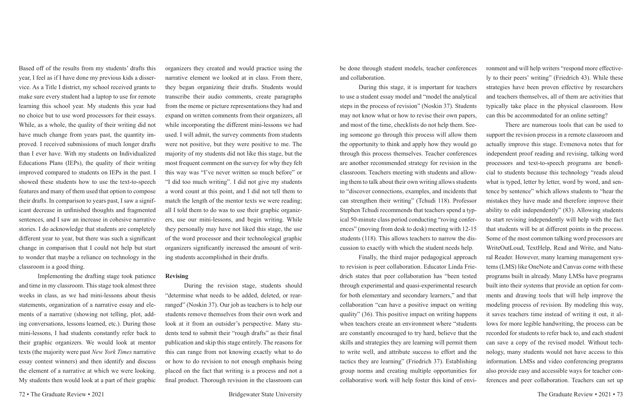Based off of the results from my students' drafts this year, I feel as if I have done my previous kids a disservice. As a Title I district, my school received grants to make sure every student had a laptop to use for remote learning this school year. My students this year had no choice but to use word processors for their essays. While, as a whole, the quality of their writing did not have much change from years past, the quantity improved. I received submissions of much longer drafts than I ever have. With my students on Individualized Educations Plans (IEPs), the quality of their writing improved compared to students on IEPs in the past. I showed these students how to use the text-to-speech features and many of them used that option to compose their drafts. In comparison to years past, I saw a significant decrease in unfinished thoughts and fragmented sentences, and I saw an increase in cohesive narrative stories. I do acknowledge that students are completely different year to year, but there was such a significant change in comparison that I could not help but start to wonder that maybe a reliance on technology in the classroom is a good thing.

Implementing the drafting stage took patience and time in my classroom. This stage took almost three weeks in class, as we had mini-lessons about thesis statements, organization of a narrative essay and elements of a narrative (showing not telling, plot, adding conversations, lessons learned, etc.). During those mini-lessons, I had students constantly refer back to their graphic organizers. We would look at mentor texts (the majority were past *New York Times* narrative essay contest winners) and then identify and discuss the element of a narrative at which we were looking. My students then would look at a part of their graphic organizers they created and would practice using the narrative element we looked at in class. From there, they began organizing their drafts. Students would transcribe their audio comments, create paragraphs from the meme or picture representations they had and expand on written comments from their organizers, all while incorporating the different mini-lessons we had used. I will admit, the survey comments from students were not positive, but they were positive to me. The majority of my students did not like this stage, but the most frequent comment on the survey for why they felt this way was "I've never written so much before" or "I did too much writing". I did not give my students a word count at this point, and I did not tell them to match the length of the mentor texts we were reading; all I told them to do was to use their graphic organizers, use our mini-lessons, and begin writing. While they personally may have not liked this stage, the use of the word processor and their technological graphic organizers significantly increased the amount of writing students accomplished in their drafts.

#### **Revising**

During the revision stage, students should "determine what needs to be added, deleted, or rearranged" (Noskin 37). Our job as teachers is to help our students remove themselves from their own work and look at it from an outsider's perspective. Many students tend to submit their "rough drafts" as their final publication and skip this stage entirely. The reasons for this can range from not knowing exactly what to do or how to do revision to not enough emphasis being placed on the fact that writing is a process and not a final product. Thorough revision in the classroom can

be done through student models, teacher conferences and collaboration. During this stage, it is important for teachers to use a student essay model and "model the analytical steps in the process of revision" (Noskin 37). Students may not know what or how to revise their own papers, ronment and will help writers "respond more effectivecan this be accommodated for an online setting?

and most of the time, checklists do not help them. Seeing someone go through this process will allow them the opportunity to think and apply how they would go through this process themselves. Teacher conferences are another recommended strategy for revision in the classroom. Teachers meeting with students and allowing them to talk about their own writing allows students to "discover connections, examples, and incidents that can strengthen their writing" (Tchudi 118). Professor Stephen Tchudi recommends that teachers spend a typical 50-minute class period conducting "roving conferences" (moving from desk to desk) meeting with 12-15 students (118). This allows teachers to narrow the discussion to exactly with which the student needs help. Finally, the third major pedagogical approach to revision is peer collaboration. Educator Linda Friedrich states that peer collaboration has "been tested through experimental and quasi-experimental research for both elementary and secondary learners," and that collaboration "can have a positive impact on writing quality" (36). This positive impact on writing happens when teachers create an environment where "students are constantly encouraged to try hard, believe that the skills and strategies they are learning will permit them to write well, and attribute success to effort and the tactics they are learning" (Friedrich 37). Establishing group norms and creating multiple opportunities for ly to their peers' writing" (Friedrich 43). While these strategies have been proven effective by researchers and teachers themselves, all of them are activities that typically take place in the physical classroom. How There are numerous tools that can be used to support the revision process in a remote classroom and actually improve this stage. Evmenova notes that for independent proof reading and revising, talking word processors and text-to-speech programs are beneficial to students because this technology "reads aloud what is typed, letter by letter, word by word, and sentence by sentence" which allows students to "hear the mistakes they have made and therefore improve their ability to edit independently" (83). Allowing students to start revising independently will help with the fact that students will be at different points in the process. Some of the most common talking word processors are WriteOutLoud, TextHelp, Read and Write, and Natural Reader. However, many learning management systems (LMS) like OneNote and Canvas come with these programs built in already. Many LMSs have programs built into their systems that provide an option for comments and drawing tools that will help improve the modeling process of revision. By modeling this way, it saves teachers time instead of writing it out, it allows for more legible handwriting, the process can be recorded for students to refer back to, and each student can save a copy of the revised model. Without technology, many students would not have access to this information. LMSs and video conferencing programs also provide easy and accessible ways for teacher con-

collaborative work will help foster this kind of enviferences and peer collaboration. Teachers can set up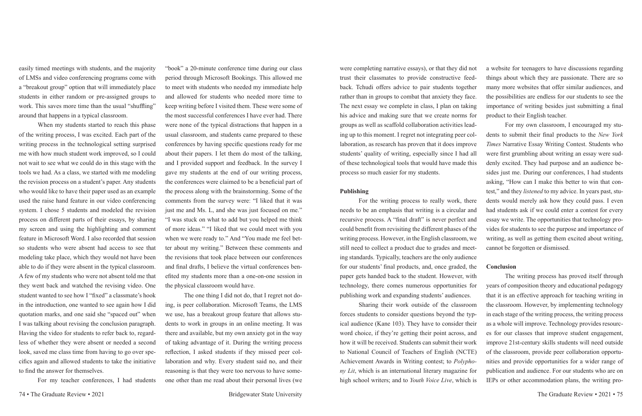easily timed meetings with students, and the majority of LMSs and video conferencing programs come with a "breakout group" option that will immediately place students in either random or pre-assigned groups to work. This saves more time than the usual "shuffling" around that happens in a typical classroom.

When my students started to reach this phase of the writing process, I was excited. Each part of the writing process in the technological setting surprised me with how much student work improved, so I could not wait to see what we could do in this stage with the tools we had. As a class, we started with me modeling the revision process on a student's paper. Any students who would like to have their paper used as an example used the raise hand feature in our video conferencing system. I chose 5 students and modeled the revision process on different parts of their essays, by sharing my screen and using the highlighting and comment feature in Microsoft Word. I also recorded that session so students who were absent had access to see that modeling take place, which they would not have been able to do if they were absent in the typical classroom. A few of my students who were not absent told me that they went back and watched the revising video. One student wanted to see how I "fixed" a classmate's hook in the introduction, one wanted to see again how I did quotation marks, and one said she "spaced out" when I was talking about revising the conclusion paragraph. Having the video for students to refer back to, regardless of whether they were absent or needed a second look, saved me class time from having to go over specifics again and allowed students to take the initiative to find the answer for themselves.

For my teacher conferences, I had students

"book" a 20-minute conference time during our class period through Microsoft Bookings. This allowed me to meet with students who needed my immediate help and allowed for students who needed more time to keep writing before I visited them. These were some of the most successful conferences I have ever had. There were none of the typical distractions that happen in a usual classroom, and students came prepared to these conferences by having specific questions ready for me about their papers. I let them do most of the talking, and I provided support and feedback. In the survey I gave my students at the end of our writing process, the conferences were claimed to be a beneficial part of the process along with the brainstorming. Some of the comments from the survey were: "I liked that it was just me and Ms. L, and she was just focused on me." "I was stuck on what to add but you helped me think of more ideas." "I liked that we could meet with you when we were ready to." And "You made me feel better about my writing." Between these comments and the revisions that took place between our conferences and final drafts, I believe the virtual conferences benefited my students more than a one-on-one session in the physical classroom would have.

The one thing I did not do, that I regret not doing, is peer collaboration. Microsoft Teams, the LMS we use, has a breakout group feature that allows students to work in groups in an online meeting. It was there and available, but my own anxiety got in the way of taking advantage of it. During the writing process reflection, I asked students if they missed peer collaboration and why. Every student said no, and their reasoning is that they were too nervous to have someone other than me read about their personal lives (we

### **Publishing**

For the writing process to really work, there needs to be an emphasis that writing is a circular and recursive process. A "final draft" is never perfect and could benefit from revisiting the different phases of the writing process. However, in the English classroom, we still need to collect a product due to grades and meeting standards. Typically, teachers are the only audience for our students' final products, and, once graded, the paper gets handed back to the student. However, with publishing work and expanding students' audiences.

were completing narrative essays), or that they did not trust their classmates to provide constructive feedback. Tchudi offers advice to pair students together rather than in groups to combat that anxiety they face. The next essay we complete in class, I plan on taking his advice and making sure that we create norms for groups as well as scaffold collaboration activities leading up to this moment. I regret not integrating peer collaboration, as research has proven that it does improve students' quality of writing, especially since I had all of these technological tools that would have made this process so much easier for my students. a website for teenagers to have discussions regarding things about which they are passionate. There are so many more websites that offer similar audiences, and the possibilities are endless for our students to see the importance of writing besides just submitting a final product to their English teacher.

technology, there comes numerous opportunities for Sharing their work outside of the classroom forces students to consider questions beyond the typical audience (Kane 103). They have to consider their word choice, if they're getting their point across, and how it will be received. Students can submit their work to National Council of Teachers of English (NCTE) Achievement Awards in Writing contest; to *Polyphony Lit*, which is an international literary magazine for high school writers; and to *Youth Voice Live*, which is The writing process has proved itself through years of composition theory and educational pedagogy that it is an effective approach for teaching writing in the classroom. However, by implementing technology in each stage of the writing process, the writing process as a whole will improve. Technology provides resources for our classes that improve student engagement, improve 21st-century skills students will need outside of the classroom, provide peer collaboration opportunities and provide opportunities for a wider range of publication and audience. For our students who are on IEPs or other accommodation plans, the writing pro-

For my own classroom, I encouraged my students to submit their final products to the *New York Times* Narrative Essay Writing Contest. Students who were first grumbling about writing an essay were suddenly excited. They had purpose and an audience besides just me. During our conferences, I had students asking, "How can I make this better to win that contest," and they *listened* to my advice. In years past, students would merely ask how they could pass. I even had students ask if we could enter a contest for every essay we write. The opportunities that technology provides for students to see the purpose and importance of writing, as well as getting them excited about writing, cannot be forgotten or dismissed.

#### **Conclusion**